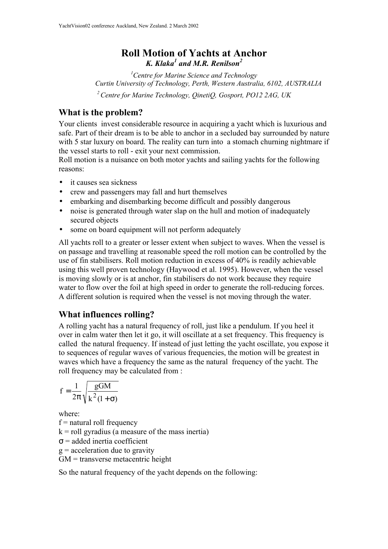# **Roll Motion of Yachts at Anchor** *K. Klaka<sup>1</sup> and M.R. Renilson<sup>2</sup>*

*<sup>1</sup>Centre for Marine Science and Technology Curtin University of Technology, Perth, Western Australia, 6102, AUSTRALIA <sup>2</sup>Centre for Marine Technology, QinetiQ, Gosport, PO12 2AG, UK*

# **What is the problem?**

Your clients invest considerable resource in acquiring a yacht which is luxurious and safe. Part of their dream is to be able to anchor in a secluded bay surrounded by nature with 5 star luxury on board. The reality can turn into a stomach churning nightmare if the vessel starts to roll - exit your next commission.

Roll motion is a nuisance on both motor yachts and sailing yachts for the following reasons:

- it causes sea sickness
- crew and passengers may fall and hurt themselves
- embarking and disembarking become difficult and possibly dangerous
- noise is generated through water slap on the hull and motion of inadequately secured objects
- some on board equipment will not perform adequately

All yachts roll to a greater or lesser extent when subject to waves. When the vessel is on passage and travelling at reasonable speed the roll motion can be controlled by the use of fin stabilisers. Roll motion reduction in excess of 40% is readily achievable using this well proven technology (Haywood et al. 1995). However, when the vessel is moving slowly or is at anchor, fin stabilisers do not work because they require water to flow over the foil at high speed in order to generate the roll-reducing forces. A different solution is required when the vessel is not moving through the water.

# **What influences rolling?**

A rolling yacht has a natural frequency of roll, just like a pendulum. If you heel it over in calm water then let it go, it will oscillate at a set frequency. This frequency is called the natural frequency. If instead of just letting the yacht oscillate, you expose it to sequences of regular waves of various frequencies, the motion will be greatest in waves which have a frequency the same as the natural frequency of the yacht. The roll frequency may be calculated from :

$$
f = \frac{1}{2\pi} \sqrt{\frac{gGM}{k^2(1+\sigma)}}
$$

where:

 $f$  = natural roll frequency

 $k =$  roll gyradius (a measure of the mass inertia)

 $\sigma$  = added inertia coefficient

 $g =$  acceleration due to gravity

GM = transverse metacentric height

So the natural frequency of the yacht depends on the following: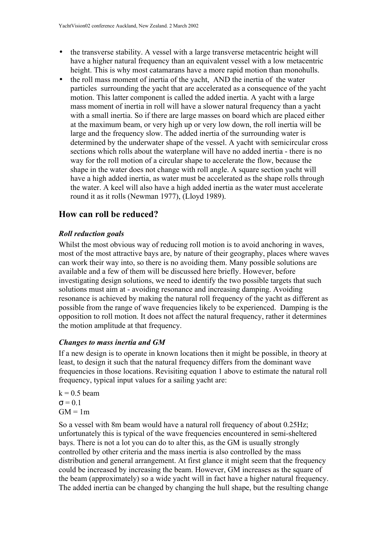- the transverse stability. A vessel with a large transverse metacentric height will have a higher natural frequency than an equivalent vessel with a low metacentric height. This is why most catamarans have a more rapid motion than monohulls.
- the roll mass moment of inertia of the yacht, AND the inertia of the water particles surrounding the yacht that are accelerated as a consequence of the yacht motion. This latter component is called the added inertia. A yacht with a large mass moment of inertia in roll will have a slower natural frequency than a yacht with a small inertia. So if there are large masses on board which are placed either at the maximum beam, or very high up or very low down, the roll inertia will be large and the frequency slow. The added inertia of the surrounding water is determined by the underwater shape of the vessel. A yacht with semicircular cross sections which rolls about the waterplane will have no added inertia - there is no way for the roll motion of a circular shape to accelerate the flow, because the shape in the water does not change with roll angle. A square section yacht will have a high added inertia, as water must be accelerated as the shape rolls through the water. A keel will also have a high added inertia as the water must accelerate round it as it rolls (Newman 1977), (Lloyd 1989).

# **How can roll be reduced?**

# *Roll reduction goals*

Whilst the most obvious way of reducing roll motion is to avoid anchoring in waves, most of the most attractive bays are, by nature of their geography, places where waves can work their way into, so there is no avoiding them. Many possible solutions are available and a few of them will be discussed here briefly. However, before investigating design solutions, we need to identify the two possible targets that such solutions must aim at - avoiding resonance and increasing damping. Avoiding resonance is achieved by making the natural roll frequency of the yacht as different as possible from the range of wave frequencies likely to be experienced. Damping is the opposition to roll motion. It does not affect the natural frequency, rather it determines the motion amplitude at that frequency.

## *Changes to mass inertia and GM*

If a new design is to operate in known locations then it might be possible, in theory at least, to design it such that the natural frequency differs from the dominant wave frequencies in those locations. Revisiting equation 1 above to estimate the natural roll frequency, typical input values for a sailing yacht are:

 $k = 0.5$  beam  $\sigma$  = 0.1  $GM = 1m$ 

So a vessel with 8m beam would have a natural roll frequency of about 0.25Hz; unfortunately this is typical of the wave frequencies encountered in semi-sheltered bays. There is not a lot you can do to alter this, as the GM is usually strongly controlled by other criteria and the mass inertia is also controlled by the mass distribution and general arrangement. At first glance it might seem that the frequency could be increased by increasing the beam. However, GM increases as the square of the beam (approximately) so a wide yacht will in fact have a higher natural frequency. The added inertia can be changed by changing the hull shape, but the resulting change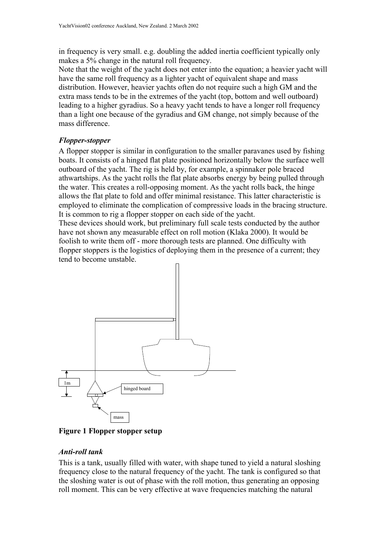in frequency is very small. e.g. doubling the added inertia coefficient typically only makes a 5% change in the natural roll frequency.

Note that the weight of the yacht does not enter into the equation; a heavier yacht will have the same roll frequency as a lighter yacht of equivalent shape and mass distribution. However, heavier yachts often do not require such a high GM and the extra mass tends to be in the extremes of the yacht (top, bottom and well outboard) leading to a higher gyradius. So a heavy yacht tends to have a longer roll frequency than a light one because of the gyradius and GM change, not simply because of the mass difference.

## *Flopper-stopper*

A flopper stopper is similar in configuration to the smaller paravanes used by fishing boats. It consists of a hinged flat plate positioned horizontally below the surface well outboard of the yacht. The rig is held by, for example, a spinnaker pole braced athwartships. As the yacht rolls the flat plate absorbs energy by being pulled through the water. This creates a roll-opposing moment. As the yacht rolls back, the hinge allows the flat plate to fold and offer minimal resistance. This latter characteristic is employed to eliminate the complication of compressive loads in the bracing structure. It is common to rig a flopper stopper on each side of the yacht.

These devices should work, but preliminary full scale tests conducted by the author have not shown any measurable effect on roll motion (Klaka 2000). It would be foolish to write them off - more thorough tests are planned. One difficulty with flopper stoppers is the logistics of deploying them in the presence of a current; they tend to become unstable.



**Figure 1 Flopper stopper setup**

#### *Anti-roll tank*

This is a tank, usually filled with water, with shape tuned to yield a natural sloshing frequency close to the natural frequency of the yacht. The tank is configured so that the sloshing water is out of phase with the roll motion, thus generating an opposing roll moment. This can be very effective at wave frequencies matching the natural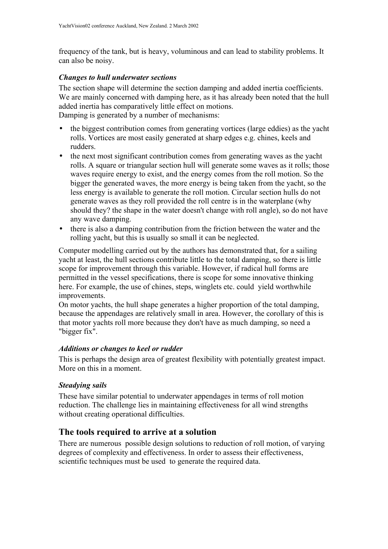frequency of the tank, but is heavy, voluminous and can lead to stability problems. It can also be noisy.

### *Changes to hull underwater sections*

The section shape will determine the section damping and added inertia coefficients. We are mainly concerned with damping here, as it has already been noted that the hull added inertia has comparatively little effect on motions.

Damping is generated by a number of mechanisms:

- the biggest contribution comes from generating vortices (large eddies) as the yacht rolls. Vortices are most easily generated at sharp edges e.g. chines, keels and rudders.
- the next most significant contribution comes from generating waves as the yacht rolls. A square or triangular section hull will generate some waves as it rolls; those waves require energy to exist, and the energy comes from the roll motion. So the bigger the generated waves, the more energy is being taken from the yacht, so the less energy is available to generate the roll motion. Circular section hulls do not generate waves as they roll provided the roll centre is in the waterplane (why should they? the shape in the water doesn't change with roll angle), so do not have any wave damping.
- there is also a damping contribution from the friction between the water and the rolling yacht, but this is usually so small it can be neglected.

Computer modelling carried out by the authors has demonstrated that, for a sailing yacht at least, the hull sections contribute little to the total damping, so there is little scope for improvement through this variable. However, if radical hull forms are permitted in the vessel specifications, there is scope for some innovative thinking here. For example, the use of chines, steps, winglets etc. could yield worthwhile improvements.

On motor yachts, the hull shape generates a higher proportion of the total damping, because the appendages are relatively small in area. However, the corollary of this is that motor yachts roll more because they don't have as much damping, so need a "bigger fix".

#### *Additions or changes to keel or rudder*

This is perhaps the design area of greatest flexibility with potentially greatest impact. More on this in a moment.

## *Steadying sails*

These have similar potential to underwater appendages in terms of roll motion reduction. The challenge lies in maintaining effectiveness for all wind strengths without creating operational difficulties.

## **The tools required to arrive at a solution**

There are numerous possible design solutions to reduction of roll motion, of varying degrees of complexity and effectiveness. In order to assess their effectiveness, scientific techniques must be used to generate the required data.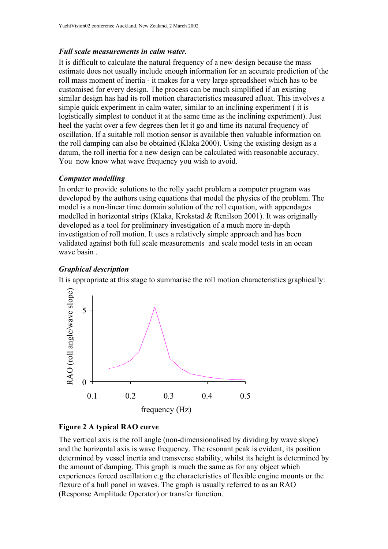### *Full scale measurements in calm water.*

It is difficult to calculate the natural frequency of a new design because the mass estimate does not usually include enough information for an accurate prediction of the roll mass moment of inertia - it makes for a very large spreadsheet which has to be customised for every design. The process can be much simplified if an existing similar design has had its roll motion characteristics measured afloat. This involves a simple quick experiment in calm water, similar to an inclining experiment ( it is logistically simplest to conduct it at the same time as the inclining experiment). Just heel the yacht over a few degrees then let it go and time its natural frequency of oscillation. If a suitable roll motion sensor is available then valuable information on the roll damping can also be obtained (Klaka 2000). Using the existing design as a datum, the roll inertia for a new design can be calculated with reasonable accuracy. You now know what wave frequency you wish to avoid.

### *Computer modelling*

In order to provide solutions to the rolly yacht problem a computer program was developed by the authors using equations that model the physics of the problem. The model is a non-linear time domain solution of the roll equation, with appendages modelled in horizontal strips (Klaka, Krokstad & Renilson 2001). It was originally developed as a tool for preliminary investigation of a much more in-depth investigation of roll motion. It uses a relatively simple approach and has been validated against both full scale measurements and scale model tests in an ocean wave basin .

## *Graphical description*

It is appropriate at this stage to summarise the roll motion characteristics graphically:



#### **Figure 2 A typical RAO curve**

The vertical axis is the roll angle (non-dimensionalised by dividing by wave slope) and the horizontal axis is wave frequency. The resonant peak is evident, its position determined by vessel inertia and transverse stability, whilst its height is determined by the amount of damping. This graph is much the same as for any object which experiences forced oscillation e.g the characteristics of flexible engine mounts or the flexure of a hull panel in waves. The graph is usually referred to as an RAO (Response Amplitude Operator) or transfer function.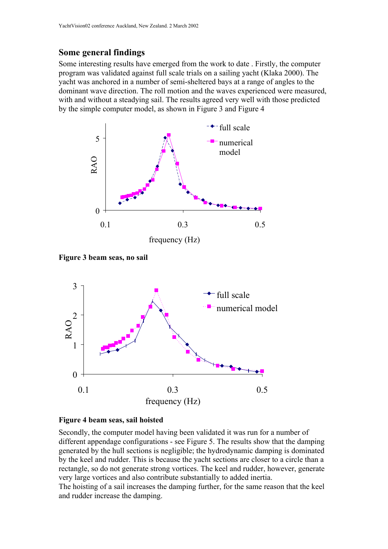## **Some general findings**

Some interesting results have emerged from the work to date . Firstly, the computer program was validated against full scale trials on a sailing yacht (Klaka 2000). The yacht was anchored in a number of semi-sheltered bays at a range of angles to the dominant wave direction. The roll motion and the waves experienced were measured, with and without a steadying sail. The results agreed very well with those predicted by the simple computer model, as shown in Figure 3 and Figure 4







#### **Figure 4 beam seas, sail hoisted**

Secondly, the computer model having been validated it was run for a number of different appendage configurations - see Figure 5. The results show that the damping generated by the hull sections is negligible; the hydrodynamic damping is dominated by the keel and rudder. This is because the yacht sections are closer to a circle than a rectangle, so do not generate strong vortices. The keel and rudder, however, generate very large vortices and also contribute substantially to added inertia.

The hoisting of a sail increases the damping further, for the same reason that the keel and rudder increase the damping.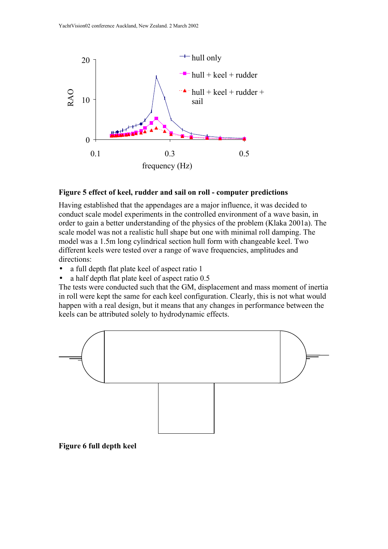

#### **Figure 5 effect of keel, rudder and sail on roll - computer predictions**

Having established that the appendages are a major influence, it was decided to conduct scale model experiments in the controlled environment of a wave basin, in order to gain a better understanding of the physics of the problem (Klaka 2001a). The scale model was not a realistic hull shape but one with minimal roll damping. The model was a 1.5m long cylindrical section hull form with changeable keel. Two different keels were tested over a range of wave frequencies, amplitudes and directions:

- a full depth flat plate keel of aspect ratio 1
- a half depth flat plate keel of aspect ratio 0.5

The tests were conducted such that the GM, displacement and mass moment of inertia in roll were kept the same for each keel configuration. Clearly, this is not what would happen with a real design, but it means that any changes in performance between the keels can be attributed solely to hydrodynamic effects.



#### **Figure 6 full depth keel**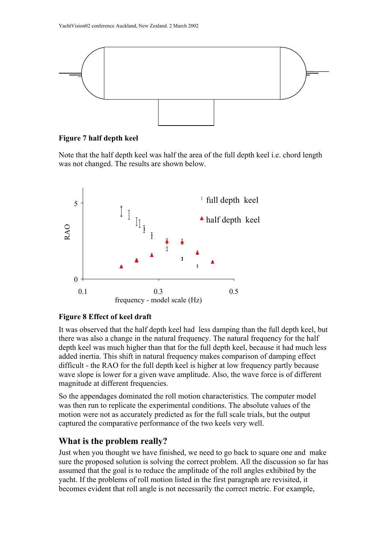

#### **Figure 7 half depth keel**

Note that the half depth keel was half the area of the full depth keel i.e. chord length was not changed. The results are shown below.



## **Figure 8 Effect of keel draft**

It was observed that the half depth keel had less damping than the full depth keel, but there was also a change in the natural frequency. The natural frequency for the half depth keel was much higher than that for the full depth keel, because it had much less added inertia. This shift in natural frequency makes comparison of damping effect difficult - the RAO for the full depth keel is higher at low frequency partly because wave slope is lower for a given wave amplitude. Also, the wave force is of different magnitude at different frequencies.

So the appendages dominated the roll motion characteristics. The computer model was then run to replicate the experimental conditions. The absolute values of the motion were not as accurately predicted as for the full scale trials, but the output captured the comparative performance of the two keels very well.

## **What is the problem really?**

Just when you thought we have finished, we need to go back to square one and make sure the proposed solution is solving the correct problem. All the discussion so far has assumed that the goal is to reduce the amplitude of the roll angles exhibited by the yacht. If the problems of roll motion listed in the first paragraph are revisited, it becomes evident that roll angle is not necessarily the correct metric. For example,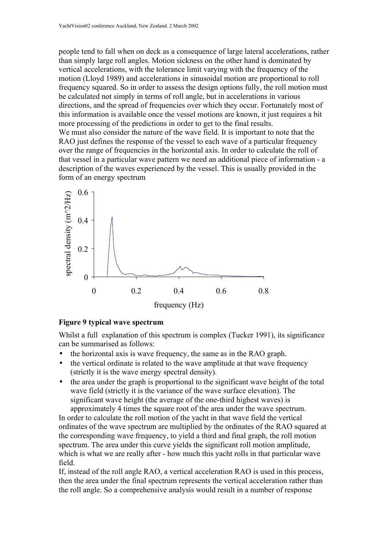people tend to fall when on deck as a consequence of large lateral accelerations, rather than simply large roll angles. Motion sickness on the other hand is dominated by vertical accelerations, with the tolerance limit varying with the frequency of the motion (Lloyd 1989) and accelerations in sinusoidal motion are proportional to roll frequency squared. So in order to assess the design options fully, the roll motion must be calculated not simply in terms of roll angle, but in accelerations in various directions, and the spread of frequencies over which they occur. Fortunately most of this information is available once the vessel motions are known, it just requires a bit more processing of the predictions in order to get to the final results. We must also consider the nature of the wave field. It is important to note that the RAO just defines the response of the vessel to each wave of a particular frequency over the range of frequencies in the horizontal axis. In order to calculate the roll of that vessel in a particular wave pattern we need an additional piece of information - a description of the waves experienced by the vessel. This is usually provided in the form of an energy spectrum



#### **Figure 9 typical wave spectrum**

Whilst a full explanation of this spectrum is complex (Tucker 1991), its significance can be summarised as follows:

- the horizontal axis is wave frequency, the same as in the RAO graph.
- the vertical ordinate is related to the wave amplitude at that wave frequency (strictly it is the wave energy spectral density).
- the area under the graph is proportional to the significant wave height of the total wave field (strictly it is the variance of the wave surface elevation). The significant wave height (the average of the one-third highest waves) is approximately 4 times the square root of the area under the wave spectrum.

In order to calculate the roll motion of the yacht in that wave field the vertical ordinates of the wave spectrum are multiplied by the ordinates of the RAO squared at the corresponding wave frequency, to yield a third and final graph, the roll motion spectrum. The area under this curve yields the significant roll motion amplitude, which is what we are really after - how much this yacht rolls in that particular wave field.

If, instead of the roll angle RAO, a vertical acceleration RAO is used in this process, then the area under the final spectrum represents the vertical acceleration rather than the roll angle. So a comprehensive analysis would result in a number of response